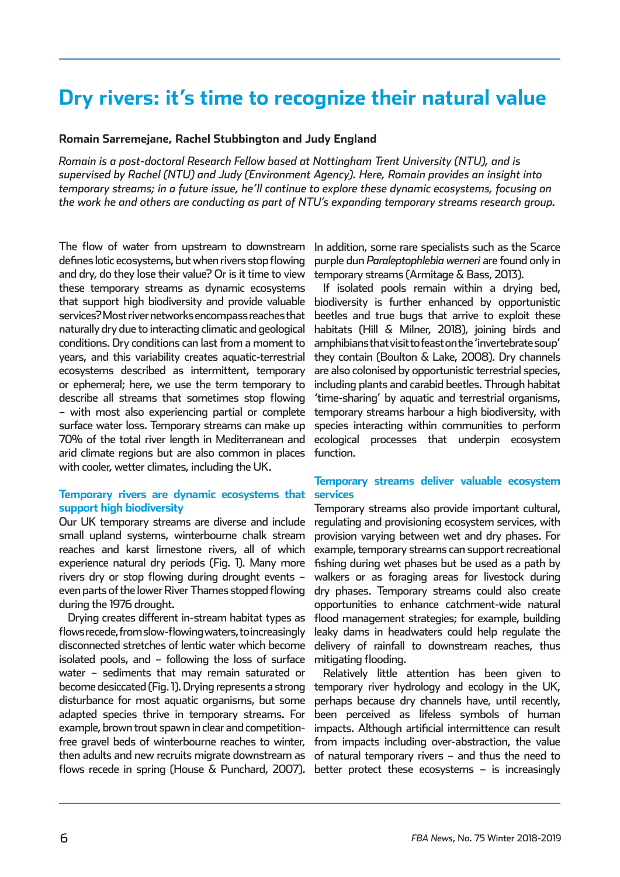# **Dry rivers: it's time to recognize their natural value**

### **Romain Sarremejane, Rachel Stubbington and Judy England**

*Romain is a post-doctoral Research Fellow based at Nottingham Trent University (NTU), and is supervised by Rachel (NTU) and Judy (Environment Agency). Here, Romain provides an insight into temporary streams; in a future issue, he'll continue to explore these dynamic ecosystems, focusing on the work he and others are conducting as part of NTU's expanding temporary streams research group.*

The flow of water from upstream to downstream defines lotic ecosystems, but when rivers stop flowing and dry, do they lose their value? Or is it time to view these temporary streams as dynamic ecosystems that support high biodiversity and provide valuable services? Most river networks encompass reaches that naturally dry due to interacting climatic and geological conditions. Dry conditions can last from a moment to years, and this variability creates aquatic-terrestrial ecosystems described as intermittent, temporary or ephemeral; here, we use the term temporary to describe all streams that sometimes stop flowing – with most also experiencing partial or complete surface water loss. Temporary streams can make up 70% of the total river length in Mediterranean and arid climate regions but are also common in places with cooler, wetter climates, including the UK.

# **Temporary rivers are dynamic ecosystems that support high biodiversity**

Our UK temporary streams are diverse and include small upland systems, winterbourne chalk stream reaches and karst limestone rivers, all of which experience natural dry periods (Fig. 1). Many more rivers dry or stop flowing during drought events – even parts of the lower River Thames stopped flowing during the 1976 drought.

Drying creates different in-stream habitat types as flows recede, from slow-flowing waters, to increasingly disconnected stretches of lentic water which become isolated pools, and – following the loss of surface water – sediments that may remain saturated or become desiccated (Fig. 1). Drying represents a strong disturbance for most aquatic organisms, but some adapted species thrive in temporary streams. For example, brown trout spawn in clear and competitionfree gravel beds of winterbourne reaches to winter, then adults and new recruits migrate downstream as flows recede in spring (House & Punchard, 2007). better protect these ecosystems – is increasingly

In addition, some rare specialists such as the Scarce purple dun *Paraleptophlebia werneri* are found only in temporary streams (Armitage & Bass, 2013).

If isolated pools remain within a drying bed, biodiversity is further enhanced by opportunistic beetles and true bugs that arrive to exploit these habitats (Hill & Milner, 2018), joining birds and amphibians that visit to feast on the 'invertebrate soup' they contain (Boulton & Lake, 2008). Dry channels are also colonised by opportunistic terrestrial species, including plants and carabid beetles. Through habitat 'time-sharing' by aquatic and terrestrial organisms, temporary streams harbour a high biodiversity, with species interacting within communities to perform ecological processes that underpin ecosystem function.

## **Temporary streams deliver valuable ecosystem services**

Temporary streams also provide important cultural, regulating and provisioning ecosystem services, with provision varying between wet and dry phases. For example, temporary streams can support recreational fishing during wet phases but be used as a path by walkers or as foraging areas for livestock during dry phases. Temporary streams could also create opportunities to enhance catchment-wide natural flood management strategies; for example, building leaky dams in headwaters could help regulate the delivery of rainfall to downstream reaches, thus mitigating flooding.

Relatively little attention has been given to temporary river hydrology and ecology in the UK, perhaps because dry channels have, until recently, been perceived as lifeless symbols of human impacts. Although artificial intermittence can result from impacts including over-abstraction, the value of natural temporary rivers – and thus the need to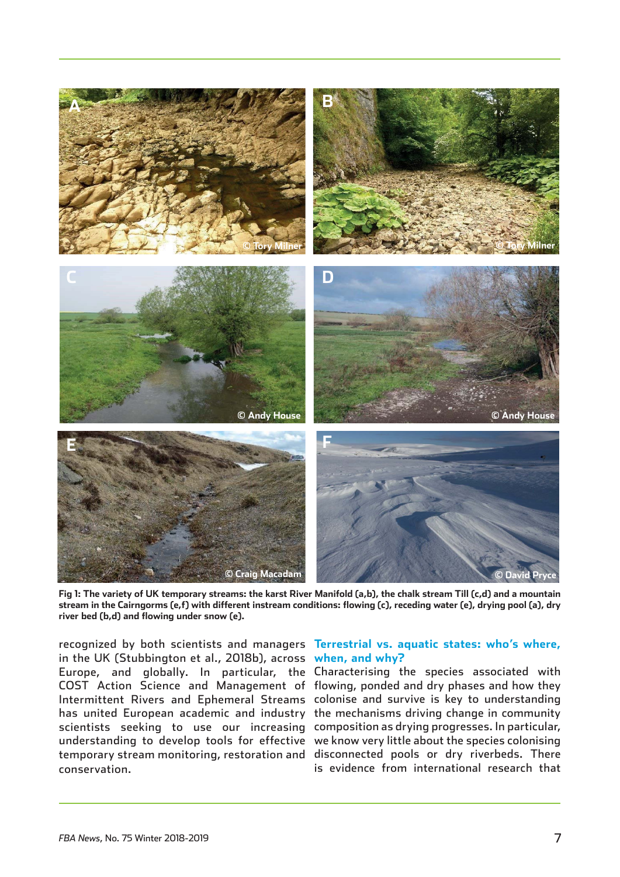

**Fig 1: The variety of UK temporary streams: the karst River Manifold (a,b), the chalk stream Till (c,d) and a mountain stream in the Cairngorms (e,f) with different instream conditions: flowing (c), receding water (e), drying pool (a), dry river bed (b,d) and flowing under snow (e).**

recognized by both scientists and managers **Terrestrial vs. aquatic states: who's where,**  in the UK (Stubbington et al., 2018b), across **when, and why?** Europe, and globally. In particular, the Characterising the species associated with COST Action Science and Management of flowing, ponded and dry phases and how they Intermittent Rivers and Ephemeral Streams colonise and survive is key to understanding has united European academic and industry the mechanisms driving change in community scientists seeking to use our increasing composition as drying progresses. In particular, understanding to develop tools for effective we know very little about the species colonising temporary stream monitoring, restoration and disconnected pools or dry riverbeds. There conservation.

is evidence from international research that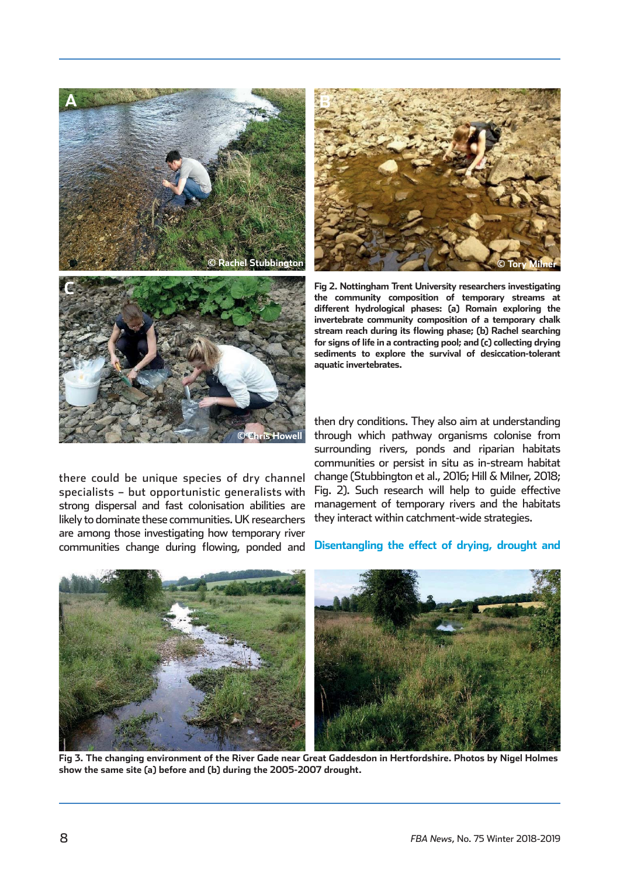

there could be unique species of dry channel specialists – but opportunistic generalists with strong dispersal and fast colonisation abilities are likely to dominate these communities. UK researchers are among those investigating how temporary river communities change during flowing, ponded and



**Fig 2. Nottingham Trent University researchers investigating the community composition of temporary streams at different hydrological phases: (a) Romain exploring the invertebrate community composition of a temporary chalk stream reach during its flowing phase; (b) Rachel searching for signs of life in a contracting pool; and (c) collecting drying sediments to explore the survival of desiccation-tolerant aquatic invertebrates.**

then dry conditions. They also aim at understanding through which pathway organisms colonise from surrounding rivers, ponds and riparian habitats communities or persist in situ as in-stream habitat change (Stubbington et al., 2016; Hill & Milner, 2018; Fig. 2). Such research will help to guide effective management of temporary rivers and the habitats they interact within catchment-wide strategies.

# **Disentangling the effect of drying, drought and**



**Fig 3. The changing environment of the River Gade near Great Gaddesdon in Hertfordshire. Photos by Nigel Holmes show the same site (a) before and (b) during the 2005-2007 drought.**